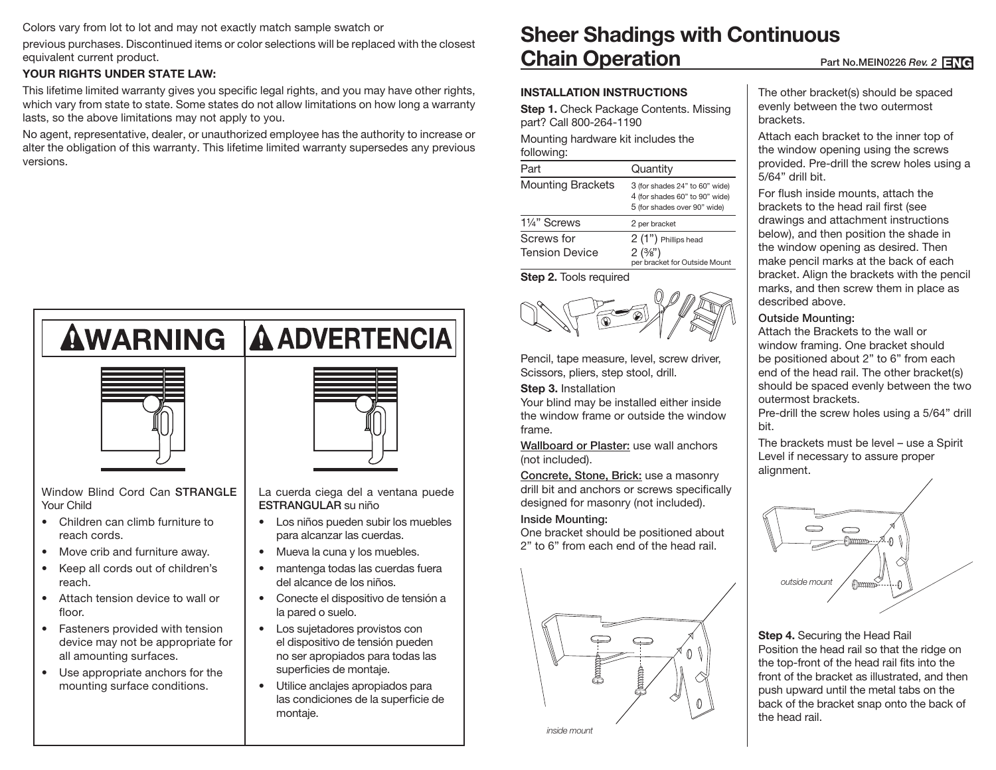Colors vary from lot to lot and may not exactly match sample swatch or

previous purchases. Discontinued items or color selections will be replaced with the closest equivalent current product.

# **YOUR RIGHTS UNDER STATE LAW:**

This lifetime limited warranty gives you specific legal rights, and you may have other rights, which vary from state to state. Some states do not allow limitations on how long a warranty lasts, so the above limitations may not apply to you.

No agent, representative, dealer, or unauthorized employee has the authority to increase or alter the obligation of this warranty. This lifetime limited warranty supersedes any previous versions.



- Attach tension device to wall or floor.
- Fasteners provided with tension device may not be appropriate for all amounting surfaces.
- Use appropriate anchors for the mounting surface conditions.

- Conecte el dispositivo de tensión a la pared o suelo.
- Los sujetadores provistos con el dispositivo de tensión pueden no ser apropiados para todas las superficies de montaje.
- Utilice anclajes apropiados para las condiciones de la superficie de montaje.

# **Sheer Shadings with Continuous Chain Operation** Part No.MEIN0226 *Rev. 2* ENG

### **INSTALLATION INSTRUCTIONS**

**Step 1.** Check Package Contents. Missing part? Call 800-264-1190

Mounting hardware kit includes the following:

| Part                     | Quantity                                                                                         |
|--------------------------|--------------------------------------------------------------------------------------------------|
| <b>Mounting Brackets</b> | 3 (for shades 24" to 60" wide)<br>4 (for shades 60" to 90" wide)<br>5 (for shades over 90" wide) |
| 11/4" Screws             | 2 per bracket                                                                                    |
| Screws for               | 2 (1") Phillips head                                                                             |
| <b>Tension Device</b>    | 2(3/8")<br>per bracket for Outside Mount                                                         |

**Step 2.** Tools required



Pencil, tape measure, level, screw driver, Scissors, pliers, step stool, drill.

#### **Step 3.** Installation

Your blind may be installed either inside the window frame or outside the window frame.

Wallboard or Plaster: use wall anchors (not included).

Concrete, Stone, Brick: use a masonry drill bit and anchors or screws specifically designed for masonry (not included).

#### Inside Mounting:

One bracket should be positioned about 2" to 6" from each end of the head rail.



*inside mount*

The other bracket(s) should be spaced evenly between the two outermost brackets.

Attach each bracket to the inner top of the window opening using the screws provided. Pre-drill the screw holes using a 5/64" drill bit.

For flush inside mounts, attach the brackets to the head rail first (see drawings and attachment instructions below), and then position the shade in the window opening as desired. Then make pencil marks at the back of each bracket. Align the brackets with the pencil marks, and then screw them in place as described above.

#### Outside Mounting:

Attach the Brackets to the wall or window framing. One bracket should be positioned about 2" to 6" from each end of the head rail. The other bracket(s) should be spaced evenly between the two outermost brackets.

Pre-drill the screw holes using a 5/64" drill bit.

The brackets must be level – use a Spirit Level if necessary to assure proper alignment.



**Step 4.** Securing the Head Rail Position the head rail so that the ridge on the top-front of the head rail fits into the front of the bracket as illustrated, and then push upward until the metal tabs on the back of the bracket snap onto the back of the head rail.